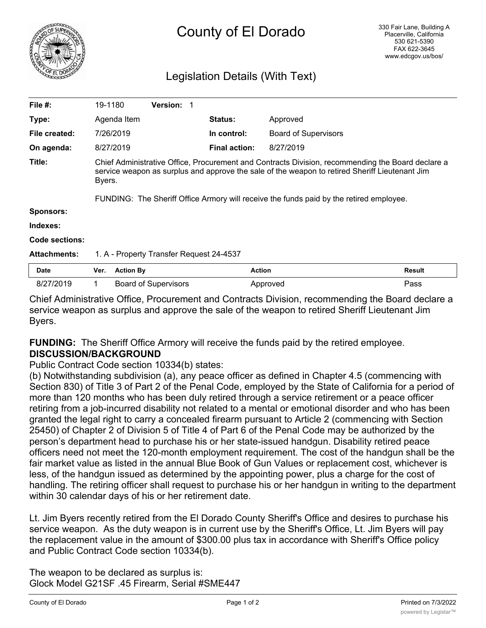

# Legislation Details (With Text)

| File $#$ :            | 19-1180                                                                                                                                                                                                       |                  | <b>Version:</b>             |                      |                             |               |
|-----------------------|---------------------------------------------------------------------------------------------------------------------------------------------------------------------------------------------------------------|------------------|-----------------------------|----------------------|-----------------------------|---------------|
| Type:                 |                                                                                                                                                                                                               | Agenda Item      |                             | <b>Status:</b>       | Approved                    |               |
| File created:         |                                                                                                                                                                                                               | 7/26/2019        |                             | In control:          | <b>Board of Supervisors</b> |               |
| On agenda:            |                                                                                                                                                                                                               | 8/27/2019        |                             | <b>Final action:</b> | 8/27/2019                   |               |
| Title:                | Chief Administrative Office, Procurement and Contracts Division, recommending the Board declare a<br>service weapon as surplus and approve the sale of the weapon to retired Sheriff Lieutenant Jim<br>Byers. |                  |                             |                      |                             |               |
|                       | FUNDING: The Sheriff Office Armory will receive the funds paid by the retired employee.                                                                                                                       |                  |                             |                      |                             |               |
| <b>Sponsors:</b>      |                                                                                                                                                                                                               |                  |                             |                      |                             |               |
| Indexes:              |                                                                                                                                                                                                               |                  |                             |                      |                             |               |
| <b>Code sections:</b> |                                                                                                                                                                                                               |                  |                             |                      |                             |               |
| <b>Attachments:</b>   | 1. A - Property Transfer Request 24-4537                                                                                                                                                                      |                  |                             |                      |                             |               |
| Date                  | Ver.                                                                                                                                                                                                          | <b>Action By</b> |                             | <b>Action</b>        |                             | <b>Result</b> |
| 8/27/2019             | 1                                                                                                                                                                                                             |                  | <b>Board of Supervisors</b> |                      | Approved                    | Pass          |

Chief Administrative Office, Procurement and Contracts Division, recommending the Board declare a service weapon as surplus and approve the sale of the weapon to retired Sheriff Lieutenant Jim Byers.

# **FUNDING:** The Sheriff Office Armory will receive the funds paid by the retired employee. **DISCUSSION/BACKGROUND**

## Public Contract Code section 10334(b) states:

(b) Notwithstanding subdivision (a), any peace officer as defined in Chapter 4.5 (commencing with Section 830) of Title 3 of Part 2 of the Penal Code, employed by the State of California for a period of more than 120 months who has been duly retired through a service retirement or a peace officer retiring from a job-incurred disability not related to a mental or emotional disorder and who has been granted the legal right to carry a concealed firearm pursuant to Article 2 (commencing with Section 25450) of Chapter 2 of Division 5 of Title 4 of Part 6 of the Penal Code may be authorized by the person's department head to purchase his or her state-issued handgun. Disability retired peace officers need not meet the 120-month employment requirement. The cost of the handgun shall be the fair market value as listed in the annual Blue Book of Gun Values or replacement cost, whichever is less, of the handgun issued as determined by the appointing power, plus a charge for the cost of handling. The retiring officer shall request to purchase his or her handgun in writing to the department within 30 calendar days of his or her retirement date.

Lt. Jim Byers recently retired from the El Dorado County Sheriff's Office and desires to purchase his service weapon. As the duty weapon is in current use by the Sheriff's Office, Lt. Jim Byers will pay the replacement value in the amount of \$300.00 plus tax in accordance with Sheriff's Office policy and Public Contract Code section 10334(b).

The weapon to be declared as surplus is: Glock Model G21SF .45 Firearm, Serial #SME447